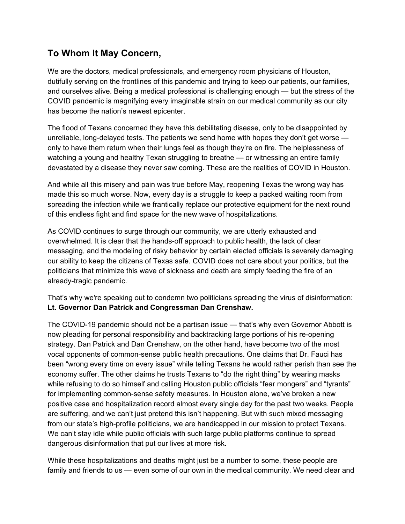## **To Whom It May Concern,**

We are the doctors, medical professionals, and emergency room physicians of Houston, dutifully serving on the frontlines of this pandemic and trying to keep our patients, our families, and ourselves alive. Being a medical professional is challenging enough — but the stress of the COVID pandemic is magnifying every imaginable strain on our medical community as our city has become the nation's newest epicenter.

The flood of Texans concerned they have this debilitating disease, only to be disappointed by unreliable, long-delayed tests. The patients we send home with hopes they don't get worse only to have them return when their lungs feel as though they're on fire. The helplessness of watching a young and healthy Texan struggling to breathe — or witnessing an entire family devastated by a disease they never saw coming. These are the realities of COVID in Houston.

And while all this misery and pain was true before May, reopening Texas the wrong way has made this so much worse. Now, every day is a struggle to keep a packed waiting room from spreading the infection while we frantically replace our protective equipment for the next round of this endless fight and find space for the new wave of hospitalizations.

As COVID continues to surge through our community, we are utterly exhausted and overwhelmed. It is clear that the hands-off approach to public health, the lack of clear messaging, and the modeling of risky behavior by certain elected officials is severely damaging our ability to keep the citizens of Texas safe. COVID does not care about your politics, but the politicians that minimize this wave of sickness and death are simply feeding the fire of an already-tragic pandemic.

That's why we're speaking out to condemn two politicians spreading the virus of disinformation: **Lt. Governor Dan Patrick and Congressman Dan Crenshaw.**

The COVID-19 pandemic should not be a partisan issue — that's why even Governor Abbott is now pleading for personal responsibility and backtracking large portions of his re-opening strategy. Dan Patrick and Dan Crenshaw, on the other hand, have become two of the most vocal opponents of common-sense public health precautions. One claims that Dr. Fauci has been "wrong every time on every issue" while telling Texans he would rather perish than see the economy suffer. The other claims he trusts Texans to "do the right thing" by wearing masks while refusing to do so himself and calling Houston public officials "fear mongers" and "tyrants" for implementing common-sense safety measures. In Houston alone, we've broken a new positive case and hospitalization record almost every single day for the past two weeks. People are suffering, and we can't just pretend this isn't happening. But with such mixed messaging from our state's high-profile politicians, we are handicapped in our mission to protect Texans. We can't stay idle while public officials with such large public platforms continue to spread dangerous disinformation that put our lives at more risk.

While these hospitalizations and deaths might just be a number to some, these people are family and friends to us — even some of our own in the medical community. We need clear and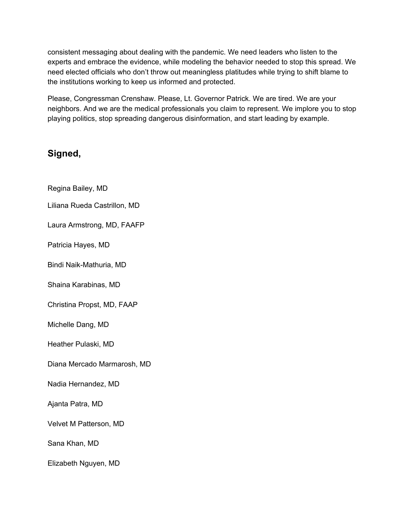consistent messaging about dealing with the pandemic. We need leaders who listen to the experts and embrace the evidence, while modeling the behavior needed to stop this spread. We need elected officials who don't throw out meaningless platitudes while trying to shift blame to the institutions working to keep us informed and protected.

Please, Congressman Crenshaw. Please, Lt. Governor Patrick. We are tired. We are your neighbors. And we are the medical professionals you claim to represent. We implore you to stop playing politics, stop spreading dangerous disinformation, and start leading by example.

## **Signed,**

- Regina Bailey, MD
- Liliana Rueda Castrillon, MD
- Laura Armstrong, MD, FAAFP
- Patricia Hayes, MD
- Bindi Naik-Mathuria, MD
- Shaina Karabinas, MD
- Christina Propst, MD, FAAP
- Michelle Dang, MD
- Heather Pulaski, MD
- Diana Mercado Marmarosh, MD
- Nadia Hernandez, MD
- Ajanta Patra, MD
- Velvet M Patterson, MD
- Sana Khan, MD
- Elizabeth Nguyen, MD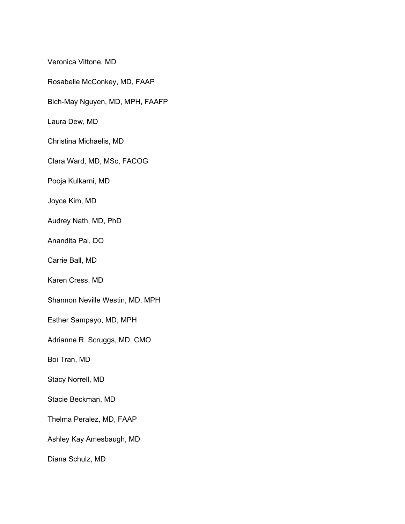Veronica Vittone, MD

Rosabelle McConkey, MD, FAAP

Bich-May Nguyen, MD, MPH, FAAFP

Laura Dew, MD

Christina Michaelis, MD

Clara Ward, MD, MSc, FACOG

Pooja Kulkarni, MD

Joyce Kim, MD

Audrey Nath, MD, PhD

Anandita Pal, DO

Carrie Ball, MD

Karen Cress, MD

Shannon Neville Westin, MD, MPH

Esther Sampayo, MD, MPH

Adrianne R. Scruggs, MD, CMO

Boi Tran, MD

Stacy Norrell, MD

Stacie Beckman, MD

Thelma Peralez, MD, FAAP

Ashley Kay Amesbaugh, MD

Diana Schulz, MD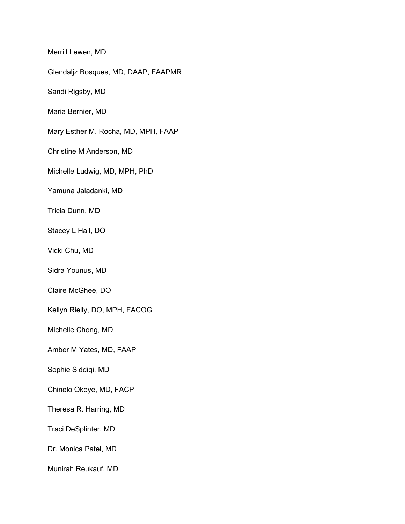Merrill Lewen, MD

Glendaljz Bosques, MD, DAAP, FAAPMR

Sandi Rigsby, MD

Maria Bernier, MD

Mary Esther M. Rocha, MD, MPH, FAAP

Christine M Anderson, MD

Michelle Ludwig, MD, MPH, PhD

Yamuna Jaladanki, MD

Tricia Dunn, MD

Stacey L Hall, DO

Vicki Chu, MD

Sidra Younus, MD

Claire McGhee, DO

Kellyn Rielly, DO, MPH, FACOG

Michelle Chong, MD

Amber M Yates, MD, FAAP

Sophie Siddiqi, MD

Chinelo Okoye, MD, FACP

Theresa R. Harring, MD

Traci DeSplinter, MD

Dr. Monica Patel, MD

Munirah Reukauf, MD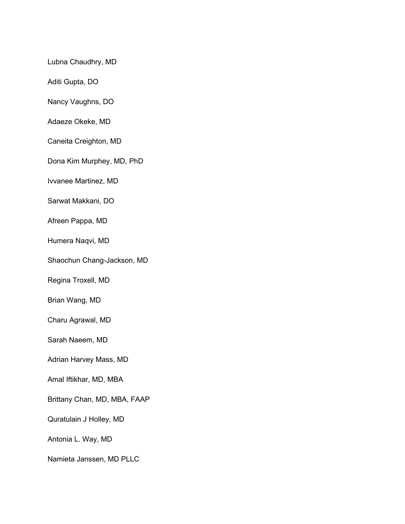Lubna Chaudhry, MD

Aditi Gupta, DO

Nancy Vaughns, DO

Adaeze Okeke, MD

Caneita Creighton, MD

Dona Kim Murphey, MD, PhD

Ivvanee Martinez, MD

Sarwat Makkani, DO

Afreen Pappa, MD

Humera Naqvi, MD

Shaochun Chang-Jackson, MD

Regina Troxell, MD

Brian Wang, MD

Charu Agrawal, MD

Sarah Naeem, MD

Adrian Harvey Mass, MD

Amal Iftikhar, MD, MBA

Brittany Chan, MD, MBA, FAAP

Quratulain J Holley, MD

Antonia L. Way, MD

Namieta Janssen, MD PLLC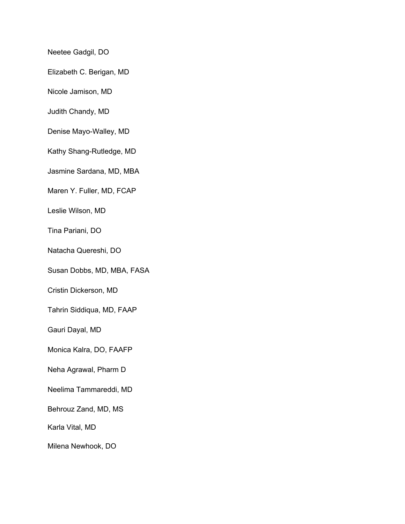Neetee Gadgil, DO

Elizabeth C. Berigan, MD

Nicole Jamison, MD

Judith Chandy, MD

Denise Mayo-Walley, MD

Kathy Shang-Rutledge, MD

Jasmine Sardana, MD, MBA

Maren Y. Fuller, MD, FCAP

Leslie Wilson, MD

Tina Pariani, DO

Natacha Quereshi, DO

Susan Dobbs, MD, MBA, FASA

Cristin Dickerson, MD

Tahrin Siddiqua, MD, FAAP

Gauri Dayal, MD

Monica Kalra, DO, FAAFP

Neha Agrawal, Pharm D

Neelima Tammareddi, MD

Behrouz Zand, MD, MS

Karla Vital, MD

Milena Newhook, DO